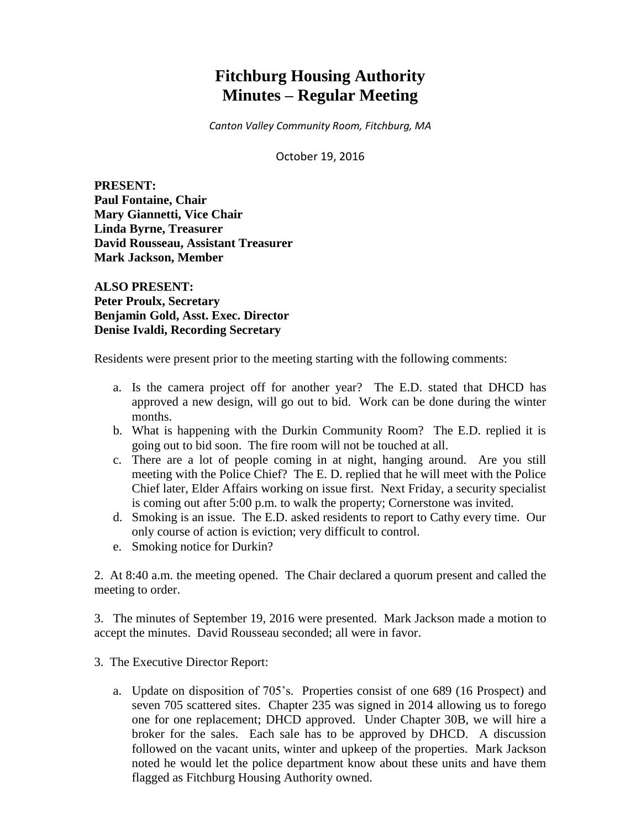# **Fitchburg Housing Authority Minutes – Regular Meeting**

*Canton Valley Community Room, Fitchburg, MA*

October 19, 2016

**PRESENT: Paul Fontaine, Chair Mary Giannetti, Vice Chair Linda Byrne, Treasurer David Rousseau, Assistant Treasurer Mark Jackson, Member**

**ALSO PRESENT: Peter Proulx, Secretary Benjamin Gold, Asst. Exec. Director Denise Ivaldi, Recording Secretary**

Residents were present prior to the meeting starting with the following comments:

- a. Is the camera project off for another year? The E.D. stated that DHCD has approved a new design, will go out to bid. Work can be done during the winter months.
- b. What is happening with the Durkin Community Room? The E.D. replied it is going out to bid soon. The fire room will not be touched at all.
- c. There are a lot of people coming in at night, hanging around. Are you still meeting with the Police Chief? The E. D. replied that he will meet with the Police Chief later, Elder Affairs working on issue first. Next Friday, a security specialist is coming out after 5:00 p.m. to walk the property; Cornerstone was invited.
- d. Smoking is an issue. The E.D. asked residents to report to Cathy every time. Our only course of action is eviction; very difficult to control.
- e. Smoking notice for Durkin?

2. At 8:40 a.m. the meeting opened. The Chair declared a quorum present and called the meeting to order.

3. The minutes of September 19, 2016 were presented. Mark Jackson made a motion to accept the minutes. David Rousseau seconded; all were in favor.

- 3. The Executive Director Report:
	- a. Update on disposition of 705's. Properties consist of one 689 (16 Prospect) and seven 705 scattered sites. Chapter 235 was signed in 2014 allowing us to forego one for one replacement; DHCD approved. Under Chapter 30B, we will hire a broker for the sales. Each sale has to be approved by DHCD. A discussion followed on the vacant units, winter and upkeep of the properties. Mark Jackson noted he would let the police department know about these units and have them flagged as Fitchburg Housing Authority owned.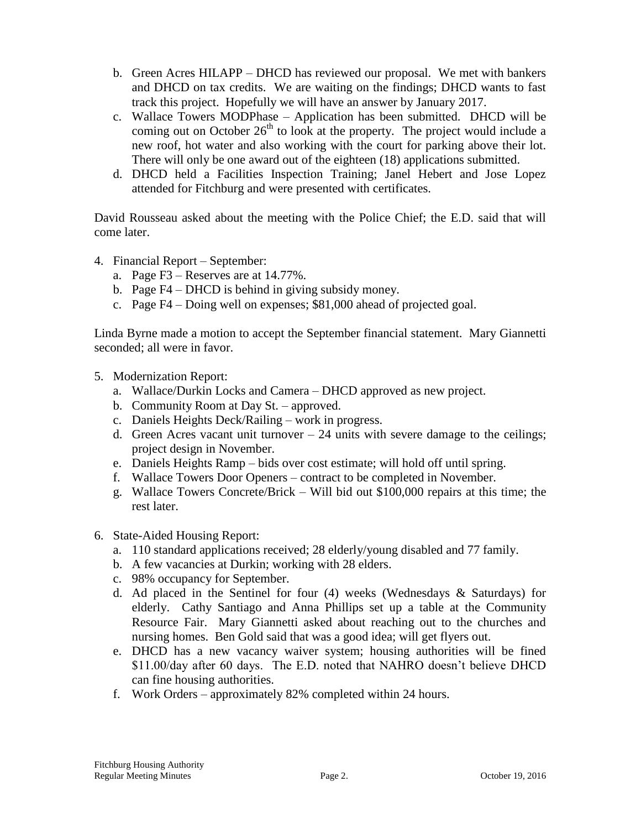- b. Green Acres HILAPP DHCD has reviewed our proposal. We met with bankers and DHCD on tax credits. We are waiting on the findings; DHCD wants to fast track this project. Hopefully we will have an answer by January 2017.
- c. Wallace Towers MODPhase Application has been submitted. DHCD will be coming out on October  $26<sup>th</sup>$  to look at the property. The project would include a new roof, hot water and also working with the court for parking above their lot. There will only be one award out of the eighteen (18) applications submitted.
- d. DHCD held a Facilities Inspection Training; Janel Hebert and Jose Lopez attended for Fitchburg and were presented with certificates.

David Rousseau asked about the meeting with the Police Chief; the E.D. said that will come later.

- 4. Financial Report September:
	- a. Page F3 Reserves are at 14.77%.
	- b. Page F4 DHCD is behind in giving subsidy money.
	- c. Page F4 Doing well on expenses; \$81,000 ahead of projected goal.

Linda Byrne made a motion to accept the September financial statement. Mary Giannetti seconded; all were in favor.

- 5. Modernization Report:
	- a. Wallace/Durkin Locks and Camera DHCD approved as new project.
	- b. Community Room at Day St. approved.
	- c. Daniels Heights Deck/Railing work in progress.
	- d. Green Acres vacant unit turnover  $-24$  units with severe damage to the ceilings; project design in November.
	- e. Daniels Heights Ramp bids over cost estimate; will hold off until spring.
	- f. Wallace Towers Door Openers contract to be completed in November.
	- g. Wallace Towers Concrete/Brick Will bid out \$100,000 repairs at this time; the rest later.
- 6. State-Aided Housing Report:
	- a. 110 standard applications received; 28 elderly/young disabled and 77 family.
	- b. A few vacancies at Durkin; working with 28 elders.
	- c. 98% occupancy for September.
	- d. Ad placed in the Sentinel for four  $(4)$  weeks (Wednesdays & Saturdays) for elderly. Cathy Santiago and Anna Phillips set up a table at the Community Resource Fair. Mary Giannetti asked about reaching out to the churches and nursing homes. Ben Gold said that was a good idea; will get flyers out.
	- e. DHCD has a new vacancy waiver system; housing authorities will be fined \$11.00/day after 60 days. The E.D. noted that NAHRO doesn't believe DHCD can fine housing authorities.
	- f. Work Orders approximately 82% completed within 24 hours.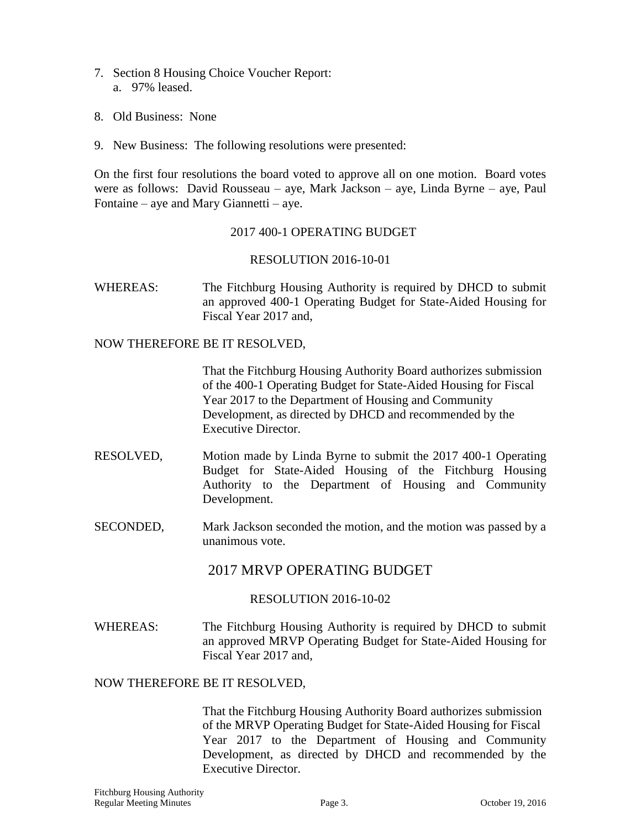- 7. Section 8 Housing Choice Voucher Report: a. 97% leased.
- 8. Old Business: None
- 9. New Business: The following resolutions were presented:

On the first four resolutions the board voted to approve all on one motion. Board votes were as follows: David Rousseau – aye, Mark Jackson – aye, Linda Byrne – aye, Paul Fontaine – aye and Mary Giannetti – aye.

## 2017 400-1 OPERATING BUDGET

#### RESOLUTION 2016-10-01

WHEREAS: The Fitchburg Housing Authority is required by DHCD to submit an approved 400-1 Operating Budget for State-Aided Housing for Fiscal Year 2017 and,

#### NOW THEREFORE BE IT RESOLVED,

That the Fitchburg Housing Authority Board authorizes submission of the 400-1 Operating Budget for State-Aided Housing for Fiscal Year 2017 to the Department of Housing and Community Development, as directed by DHCD and recommended by the Executive Director.

- RESOLVED, Motion made by Linda Byrne to submit the 2017 400-1 Operating Budget for State-Aided Housing of the Fitchburg Housing Authority to the Department of Housing and Community Development.
- SECONDED, Mark Jackson seconded the motion, and the motion was passed by a unanimous vote.

## 2017 MRVP OPERATING BUDGET

## RESOLUTION 2016-10-02

WHEREAS: The Fitchburg Housing Authority is required by DHCD to submit an approved MRVP Operating Budget for State-Aided Housing for Fiscal Year 2017 and,

#### NOW THEREFORE BE IT RESOLVED,

That the Fitchburg Housing Authority Board authorizes submission of the MRVP Operating Budget for State-Aided Housing for Fiscal Year 2017 to the Department of Housing and Community Development, as directed by DHCD and recommended by the Executive Director.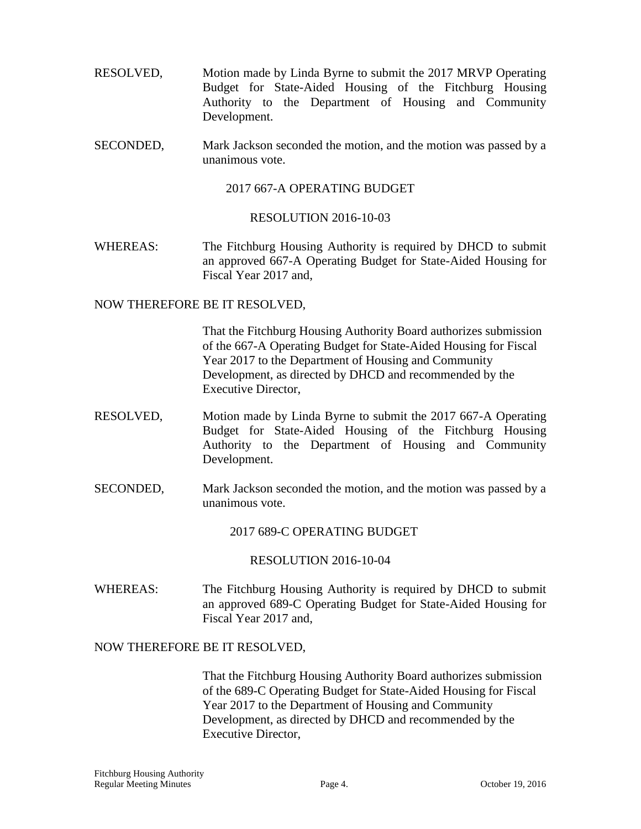- RESOLVED, Motion made by Linda Byrne to submit the 2017 MRVP Operating Budget for State-Aided Housing of the Fitchburg Housing Authority to the Department of Housing and Community Development.
- SECONDED, Mark Jackson seconded the motion, and the motion was passed by a unanimous vote.

2017 667-A OPERATING BUDGET

#### RESOLUTION 2016-10-03

WHEREAS: The Fitchburg Housing Authority is required by DHCD to submit an approved 667-A Operating Budget for State-Aided Housing for Fiscal Year 2017 and,

#### NOW THEREFORE BE IT RESOLVED,

That the Fitchburg Housing Authority Board authorizes submission of the 667-A Operating Budget for State-Aided Housing for Fiscal Year 2017 to the Department of Housing and Community Development, as directed by DHCD and recommended by the Executive Director,

- RESOLVED, Motion made by Linda Byrne to submit the 2017 667-A Operating Budget for State-Aided Housing of the Fitchburg Housing Authority to the Department of Housing and Community Development.
- SECONDED, Mark Jackson seconded the motion, and the motion was passed by a unanimous vote.

2017 689-C OPERATING BUDGET

#### RESOLUTION 2016-10-04

WHEREAS: The Fitchburg Housing Authority is required by DHCD to submit an approved 689-C Operating Budget for State-Aided Housing for Fiscal Year 2017 and,

## NOW THEREFORE BE IT RESOLVED,

That the Fitchburg Housing Authority Board authorizes submission of the 689-C Operating Budget for State-Aided Housing for Fiscal Year 2017 to the Department of Housing and Community Development, as directed by DHCD and recommended by the Executive Director,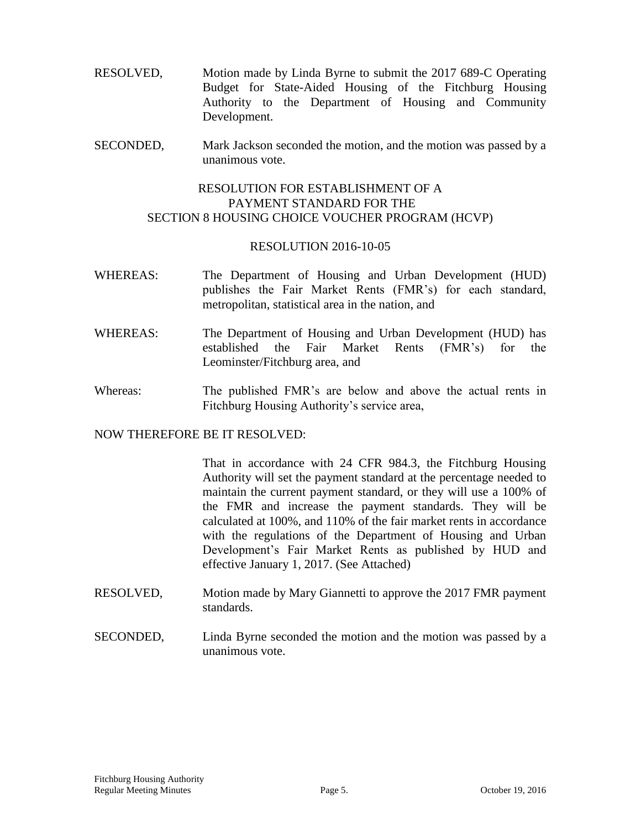- RESOLVED, Motion made by Linda Byrne to submit the 2017 689-C Operating Budget for State-Aided Housing of the Fitchburg Housing Authority to the Department of Housing and Community Development.
- SECONDED, Mark Jackson seconded the motion, and the motion was passed by a unanimous vote.

## RESOLUTION FOR ESTABLISHMENT OF A PAYMENT STANDARD FOR THE SECTION 8 HOUSING CHOICE VOUCHER PROGRAM (HCVP)

#### RESOLUTION 2016-10-05

- WHEREAS: The Department of Housing and Urban Development (HUD) publishes the Fair Market Rents (FMR's) for each standard, metropolitan, statistical area in the nation, and
- WHEREAS: The Department of Housing and Urban Development (HUD) has established the Fair Market Rents (FMR's) for the Leominster/Fitchburg area, and
- Whereas: The published FMR's are below and above the actual rents in Fitchburg Housing Authority's service area,

## NOW THEREFORE BE IT RESOLVED:

That in accordance with 24 CFR 984.3, the Fitchburg Housing Authority will set the payment standard at the percentage needed to maintain the current payment standard, or they will use a 100% of the FMR and increase the payment standards. They will be calculated at 100%, and 110% of the fair market rents in accordance with the regulations of the Department of Housing and Urban Development's Fair Market Rents as published by HUD and effective January 1, 2017. (See Attached)

- RESOLVED, Motion made by Mary Giannetti to approve the 2017 FMR payment standards.
- SECONDED, Linda Byrne seconded the motion and the motion was passed by a unanimous vote.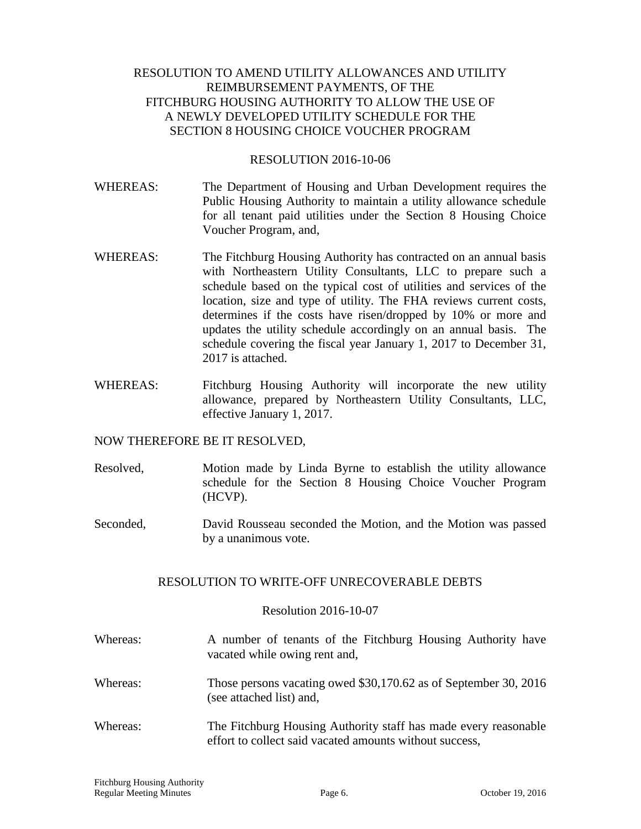## RESOLUTION TO AMEND UTILITY ALLOWANCES AND UTILITY REIMBURSEMENT PAYMENTS, OF THE FITCHBURG HOUSING AUTHORITY TO ALLOW THE USE OF A NEWLY DEVELOPED UTILITY SCHEDULE FOR THE SECTION 8 HOUSING CHOICE VOUCHER PROGRAM

#### RESOLUTION 2016-10-06

- WHEREAS: The Department of Housing and Urban Development requires the Public Housing Authority to maintain a utility allowance schedule for all tenant paid utilities under the Section 8 Housing Choice Voucher Program, and,
- WHEREAS: The Fitchburg Housing Authority has contracted on an annual basis with Northeastern Utility Consultants, LLC to prepare such a schedule based on the typical cost of utilities and services of the location, size and type of utility. The FHA reviews current costs, determines if the costs have risen/dropped by 10% or more and updates the utility schedule accordingly on an annual basis. The schedule covering the fiscal year January 1, 2017 to December 31, 2017 is attached.
- WHEREAS: Fitchburg Housing Authority will incorporate the new utility allowance, prepared by Northeastern Utility Consultants, LLC, effective January 1, 2017.

## NOW THEREFORE BE IT RESOLVED,

- Resolved, Motion made by Linda Byrne to establish the utility allowance schedule for the Section 8 Housing Choice Voucher Program (HCVP).
- Seconded, David Rousseau seconded the Motion, and the Motion was passed by a unanimous vote.

## RESOLUTION TO WRITE-OFF UNRECOVERABLE DEBTS

#### Resolution 2016-10-07

- Whereas: A number of tenants of the Fitchburg Housing Authority have vacated while owing rent and,
- Whereas: Those persons vacating owed \$30,170.62 as of September 30, 2016 (see attached list) and,
- Whereas: The Fitchburg Housing Authority staff has made every reasonable effort to collect said vacated amounts without success,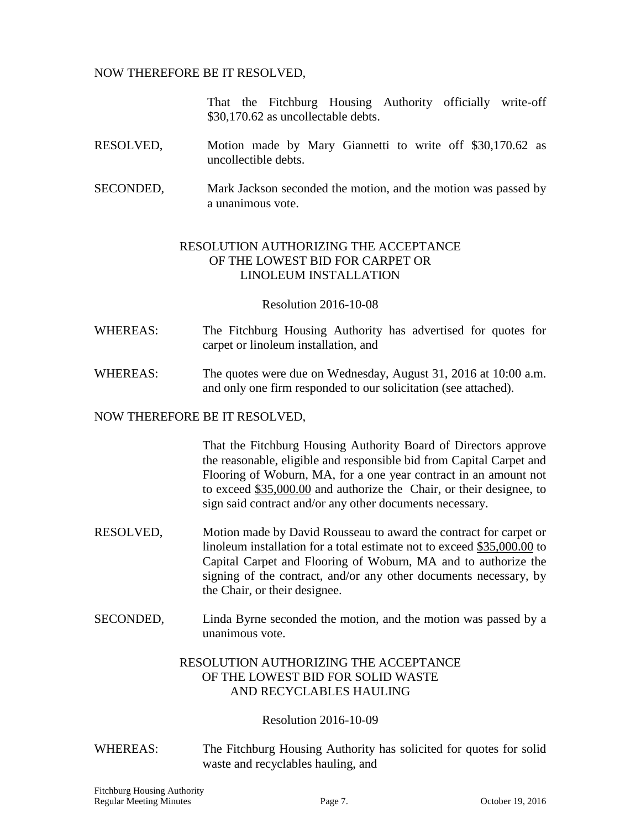## NOW THEREFORE BE IT RESOLVED,

That the Fitchburg Housing Authority officially write-off \$30,170.62 as uncollectable debts.

- RESOLVED, Motion made by Mary Giannetti to write off \$30,170.62 as uncollectible debts.
- SECONDED, Mark Jackson seconded the motion, and the motion was passed by a unanimous vote.

## RESOLUTION AUTHORIZING THE ACCEPTANCE OF THE LOWEST BID FOR CARPET OR LINOLEUM INSTALLATION

#### Resolution 2016-10-08

- WHEREAS: The Fitchburg Housing Authority has advertised for quotes for carpet or linoleum installation, and
- WHEREAS: The quotes were due on Wednesday, August 31, 2016 at 10:00 a.m. and only one firm responded to our solicitation (see attached).

#### NOW THEREFORE BE IT RESOLVED,

That the Fitchburg Housing Authority Board of Directors approve the reasonable, eligible and responsible bid from Capital Carpet and Flooring of Woburn, MA, for a one year contract in an amount not to exceed \$35,000.00 and authorize the Chair, or their designee, to sign said contract and/or any other documents necessary.

- RESOLVED, Motion made by David Rousseau to award the contract for carpet or linoleum installation for a total estimate not to exceed \$35,000.00 to Capital Carpet and Flooring of Woburn, MA and to authorize the signing of the contract, and/or any other documents necessary, by the Chair, or their designee.
- SECONDED, Linda Byrne seconded the motion, and the motion was passed by a unanimous vote.

## RESOLUTION AUTHORIZING THE ACCEPTANCE OF THE LOWEST BID FOR SOLID WASTE AND RECYCLABLES HAULING

## Resolution 2016-10-09

WHEREAS: The Fitchburg Housing Authority has solicited for quotes for solid waste and recyclables hauling, and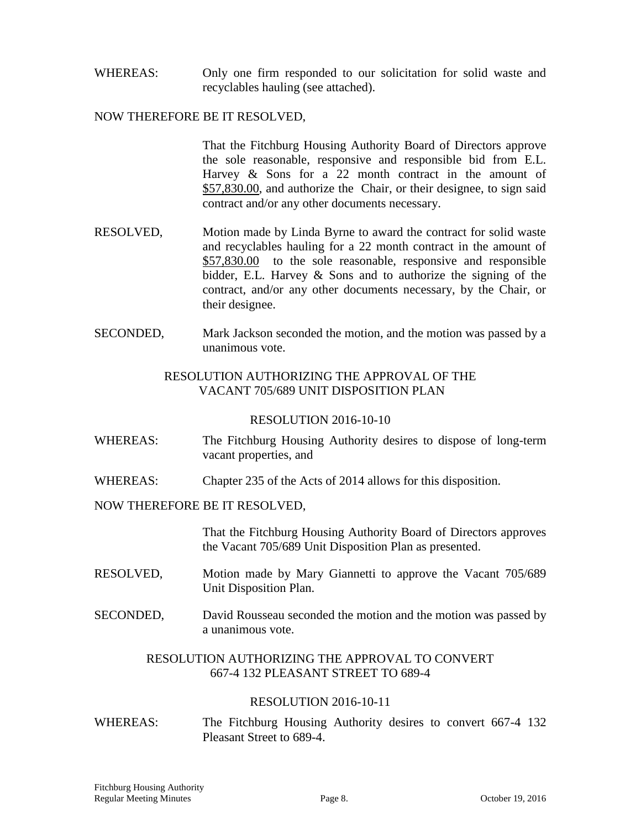WHEREAS: Only one firm responded to our solicitation for solid waste and recyclables hauling (see attached).

#### NOW THEREFORE BE IT RESOLVED,

That the Fitchburg Housing Authority Board of Directors approve the sole reasonable, responsive and responsible bid from E.L. Harvey & Sons for a 22 month contract in the amount of \$57,830.00, and authorize the Chair, or their designee, to sign said contract and/or any other documents necessary.

- RESOLVED, Motion made by Linda Byrne to award the contract for solid waste and recyclables hauling for a 22 month contract in the amount of \$57,830.00 to the sole reasonable, responsive and responsible bidder, E.L. Harvey & Sons and to authorize the signing of the contract, and/or any other documents necessary, by the Chair, or their designee.
- SECONDED, Mark Jackson seconded the motion, and the motion was passed by a unanimous vote.

#### RESOLUTION AUTHORIZING THE APPROVAL OF THE VACANT 705/689 UNIT DISPOSITION PLAN

#### RESOLUTION 2016-10-10

- WHEREAS: The Fitchburg Housing Authority desires to dispose of long-term vacant properties, and
- WHEREAS: Chapter 235 of the Acts of 2014 allows for this disposition.

#### NOW THEREFORE BE IT RESOLVED,

That the Fitchburg Housing Authority Board of Directors approves the Vacant 705/689 Unit Disposition Plan as presented.

- RESOLVED, Motion made by Mary Giannetti to approve the Vacant 705/689 Unit Disposition Plan.
- SECONDED, David Rousseau seconded the motion and the motion was passed by a unanimous vote.

## RESOLUTION AUTHORIZING THE APPROVAL TO CONVERT 667-4 132 PLEASANT STREET TO 689-4

## RESOLUTION 2016-10-11

WHEREAS: The Fitchburg Housing Authority desires to convert 667-4 132 Pleasant Street to 689-4.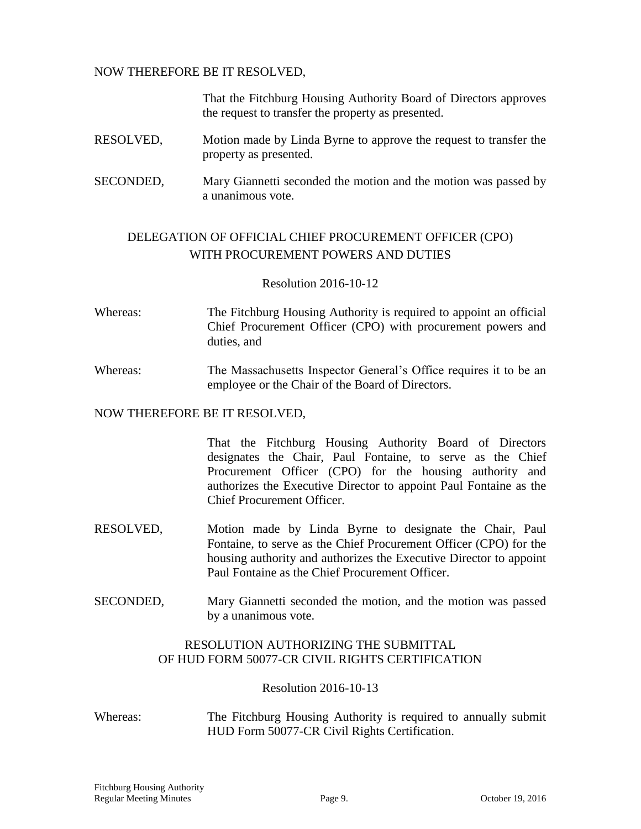#### NOW THEREFORE BE IT RESOLVED,

That the Fitchburg Housing Authority Board of Directors approves the request to transfer the property as presented.

- RESOLVED, Motion made by Linda Byrne to approve the request to transfer the property as presented.
- SECONDED, Mary Giannetti seconded the motion and the motion was passed by a unanimous vote.

## DELEGATION OF OFFICIAL CHIEF PROCUREMENT OFFICER (CPO) WITH PROCUREMENT POWERS AND DUTIES

## Resolution 2016-10-12

- Whereas: The Fitchburg Housing Authority is required to appoint an official Chief Procurement Officer (CPO) with procurement powers and duties, and
- Whereas: The Massachusetts Inspector General's Office requires it to be an employee or the Chair of the Board of Directors.

#### NOW THEREFORE BE IT RESOLVED,

That the Fitchburg Housing Authority Board of Directors designates the Chair, Paul Fontaine, to serve as the Chief Procurement Officer (CPO) for the housing authority and authorizes the Executive Director to appoint Paul Fontaine as the Chief Procurement Officer.

- RESOLVED, Motion made by Linda Byrne to designate the Chair, Paul Fontaine, to serve as the Chief Procurement Officer (CPO) for the housing authority and authorizes the Executive Director to appoint Paul Fontaine as the Chief Procurement Officer.
- SECONDED, Mary Giannetti seconded the motion, and the motion was passed by a unanimous vote.

## RESOLUTION AUTHORIZING THE SUBMITTAL OF HUD FORM 50077-CR CIVIL RIGHTS CERTIFICATION

## Resolution 2016-10-13

Whereas: The Fitchburg Housing Authority is required to annually submit HUD Form 50077-CR Civil Rights Certification.